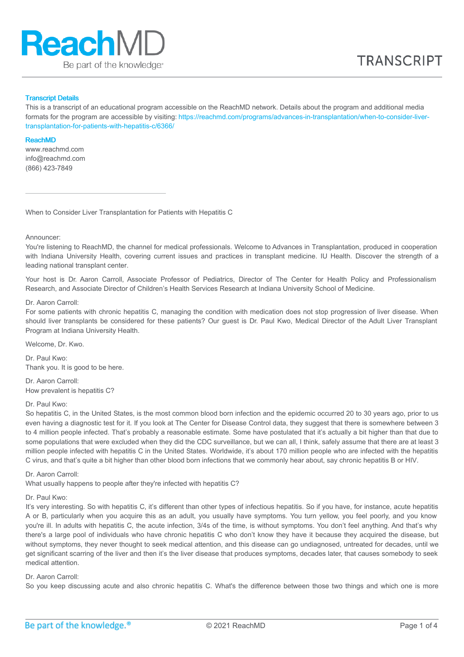

# Transcript Details

This is a transcript of an educational program accessible on the ReachMD network. Details about the program and additional media formats for the program are accessible by visiting: [https://reachmd.com/programs/advances-in-transplantation/when-to-consider-liver](https://reachmd.com/programs/advances-in-transplantation/when-to-consider-liver-transplantation-for-patients-with-hepatitis-c/6366/)transplantation-for-patients-with-hepatitis-c/6366/

#### ReachMD

www.reachmd.com info@reachmd.com (866) 423-7849

When to Consider Liver Transplantation for Patients with Hepatitis C

Announcer:

You're listening to ReachMD, the channel for medical professionals. Welcome to Advances in Transplantation, produced in cooperation with Indiana University Health, covering current issues and practices in transplant medicine. IU Health. Discover the strength of a leading national transplant center.

Your host is Dr. Aaron Carroll, Associate Professor of Pediatrics, Director of The Center for Health Policy and Professionalism Research, and Associate Director of Children's Health Services Research at Indiana University School of Medicine.

## Dr. Aaron Carroll:

For some patients with chronic hepatitis C, managing the condition with medication does not stop progression of liver disease. When should liver transplants be considered for these patients? Our guest is Dr. Paul Kwo, Medical Director of the Adult Liver Transplant Program at Indiana University Health.

Welcome, Dr. Kwo.

Dr. Paul Kwo: Thank you. It is good to be here.

Dr. Aaron Carroll: How prevalent is hepatitis C?

#### Dr. Paul Kwo:

So hepatitis C, in the United States, is the most common blood born infection and the epidemic occurred 20 to 30 years ago, prior to us even having a diagnostic test for it. If you look at The Center for Disease Control data, they suggest that there is somewhere between 3 to 4 million people infected. That's probably a reasonable estimate. Some have postulated that it's actually a bit higher than that due to some populations that were excluded when they did the CDC surveillance, but we can all, I think, safely assume that there are at least 3 million people infected with hepatitis C in the United States. Worldwide, it's about 170 million people who are infected with the hepatitis C virus, and that's quite a bit higher than other blood born infections that we commonly hear about, say chronic hepatitis B or HIV.

Dr. Aaron Carroll:

What usually happens to people after they're infected with hepatitis C?

#### Dr. Paul Kwo:

It's very interesting. So with hepatitis C, it's different than other types of infectious hepatitis. So if you have, for instance, acute hepatitis A or B, particularly when you acquire this as an adult, you usually have symptoms. You turn yellow, you feel poorly, and you know you're ill. In adults with hepatitis C, the acute infection, 3/4s of the time, is without symptoms. You don't feel anything. And that's why there's a large pool of individuals who have chronic hepatitis C who don't know they have it because they acquired the disease, but without symptoms, they never thought to seek medical attention, and this disease can go undiagnosed, untreated for decades, until we get significant scarring of the liver and then it's the liver disease that produces symptoms, decades later, that causes somebody to seek medical attention.

# Dr. Aaron Carroll:

So you keep discussing acute and also chronic hepatitis C. What's the difference between those two things and which one is more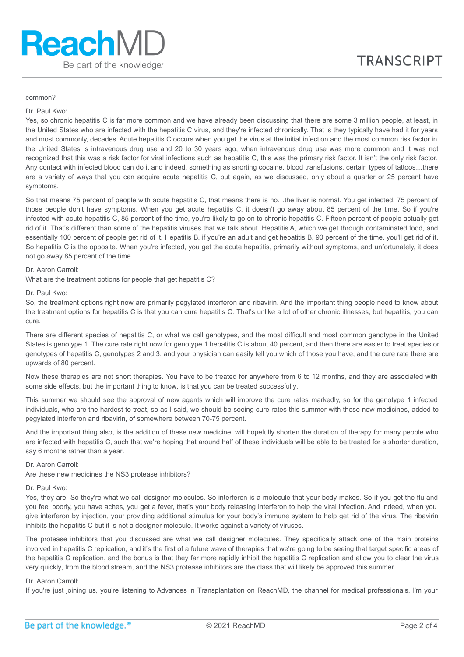## common?

### Dr. Paul Kwo:

Yes, so chronic hepatitis C is far more common and we have already been discussing that there are some 3 million people, at least, in the United States who are infected with the hepatitis C virus, and they're infected chronically. That is they typically have had it for years and most commonly, decades. Acute hepatitis C occurs when you get the virus at the initial infection and the most common risk factor in the United States is intravenous drug use and 20 to 30 years ago, when intravenous drug use was more common and it was not recognized that this was a risk factor for viral infections such as hepatitis C, this was the primary risk factor. It isn't the only risk factor. Any contact with infected blood can do it and indeed, something as snorting cocaine, blood transfusions, certain types of tattoos…there are a variety of ways that you can acquire acute hepatitis C, but again, as we discussed, only about a quarter or 25 percent have symptoms.

So that means 75 percent of people with acute hepatitis C, that means there is no...the liver is normal. You get infected. 75 percent of those people don't have symptoms. When you get acute hepatitis C, it doesn't go away about 85 percent of the time. So if you're infected with acute hepatitis C, 85 percent of the time, you're likely to go on to chronic hepatitis C. Fifteen percent of people actually get rid of it. That's different than some of the hepatitis viruses that we talk about. Hepatitis A, which we get through contaminated food, and essentially 100 percent of people get rid of it. Hepatitis B, if you're an adult and get hepatitis B, 90 percent of the time, you'll get rid of it. So hepatitis C is the opposite. When you're infected, you get the acute hepatitis, primarily without symptoms, and unfortunately, it does not go away 85 percent of the time.

# Dr. Aaron Carroll:

What are the treatment options for people that get hepatitis C?

#### Dr. Paul Kwo:

So, the treatment options right now are primarily pegylated interferon and ribavirin. And the important thing people need to know about the treatment options for hepatitis C is that you can cure hepatitis C. That's unlike a lot of other chronic illnesses, but hepatitis, you can cure.

There are different species of hepatitis C, or what we call genotypes, and the most difficult and most common genotype in the United States is genotype 1. The cure rate right now for genotype 1 hepatitis C is about 40 percent, and then there are easier to treat species or genotypes of hepatitis C, genotypes 2 and 3, and your physician can easily tell you which of those you have, and the cure rate there are upwards of 80 percent.

Now these therapies are not short therapies. You have to be treated for anywhere from 6 to 12 months, and they are associated with some side effects, but the important thing to know, is that you can be treated successfully.

This summer we should see the approval of new agents which will improve the cure rates markedly, so for the genotype 1 infected individuals, who are the hardest to treat, so as I said, we should be seeing cure rates this summer with these new medicines, added to pegylated interferon and ribavirin, of somewhere between 70-75 percent.

And the important thing also, is the addition of these new medicine, will hopefully shorten the duration of therapy for many people who are infected with hepatitis C, such that we're hoping that around half of these individuals will be able to be treated for a shorter duration, say 6 months rather than a year.

### Dr. Aaron Carroll:

Are these new medicines the NS3 protease inhibitors?

#### Dr. Paul Kwo:

Yes, they are. So they're what we call designer molecules. So interferon is a molecule that your body makes. So if you get the flu and you feel poorly, you have aches, you get a fever, that's your body releasing interferon to help the viral infection. And indeed, when you give interferon by injection, your providing additional stimulus for your body's immune system to help get rid of the virus. The ribavirin inhibits the hepatitis C but it is not a designer molecule. It works against a variety of viruses.

The protease inhibitors that you discussed are what we call designer molecules. They specifically attack one of the main proteins involved in hepatitis C replication, and it's the first of a future wave of therapies that we're going to be seeing that target specific areas of the hepatitis C replication, and the bonus is that they far more rapidly inhibit the hepatitis C replication and allow you to clear the virus very quickly, from the blood stream, and the NS3 protease inhibitors are the class that will likely be approved this summer.

# Dr. Aaron Carroll:

If you're just joining us, you're listening to Advances in Transplantation on ReachMD, the channel for medical professionals. I'm your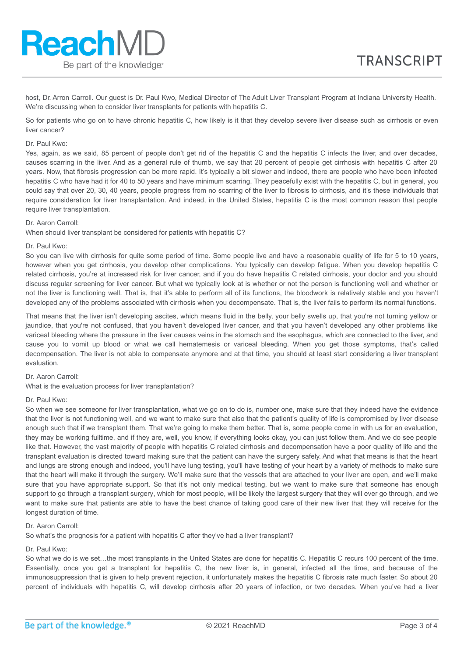host, Dr. Arron Carroll. Our guest is Dr. Paul Kwo, Medical Director of The Adult Liver Transplant Program at Indiana University Health. We're discussing when to consider liver transplants for patients with hepatitis C.

So for patients who go on to have chronic hepatitis C, how likely is it that they develop severe liver disease such as cirrhosis or even liver cancer?

## Dr. Paul Kwo:

Yes, again, as we said, 85 percent of people don't get rid of the hepatitis C and the hepatitis C infects the liver, and over decades, causes scarring in the liver. And as a general rule of thumb, we say that 20 percent of people get cirrhosis with hepatitis C after 20 years. Now, that fibrosis progression can be more rapid. It's typically a bit slower and indeed, there are people who have been infected hepatitis C who have had it for 40 to 50 years and have minimum scarring. They peacefully exist with the hepatitis C, but in general, you could say that over 20, 30, 40 years, people progress from no scarring of the liver to fibrosis to cirrhosis, and it's these individuals that require consideration for liver transplantation. And indeed, in the United States, hepatitis C is the most common reason that people require liver transplantation.

### Dr. Aaron Carroll:

When should liver transplant be considered for patients with hepatitis C?

### Dr. Paul Kwo:

So you can live with cirrhosis for quite some period of time. Some people live and have a reasonable quality of life for 5 to 10 years, however when you get cirrhosis, you develop other complications. You typically can develop fatigue. When you develop hepatitis C related cirrhosis, you're at increased risk for liver cancer, and if you do have hepatitis C related cirrhosis, your doctor and you should discuss regular screening for liver cancer. But what we typically look at is whether or not the person is functioning well and whether or not the liver is functioning well. That is, that it's able to perform all of its functions, the bloodwork is relatively stable and you haven't developed any of the problems associated with cirrhosis when you decompensate. That is, the liver fails to perform its normal functions.

That means that the liver isn't developing ascites, which means fluid in the belly, your belly swells up, that you're not turning yellow or jaundice, that you're not confused, that you haven't developed liver cancer, and that you haven't developed any other problems like variceal bleeding where the pressure in the liver causes veins in the stomach and the esophagus, which are connected to the liver, and cause you to vomit up blood or what we call hematemesis or variceal bleeding. When you get those symptoms, that's called decompensation. The liver is not able to compensate anymore and at that time, you should at least start considering a liver transplant evaluation.

# Dr. Aaron Carroll:

What is the evaluation process for liver transplantation?

### Dr. Paul Kwo:

So when we see someone for liver transplantation, what we go on to do is, number one, make sure that they indeed have the evidence that the liver is not functioning well, and we want to make sure that also that the patient's quality of life is compromised by liver disease enough such that if we transplant them. That we're going to make them better. That is, some people come in with us for an evaluation, they may be working fulltime, and if they are, well, you know, if everything looks okay, you can just follow them. And we do see people like that. However, the vast majority of people with hepatitis C related cirrhosis and decompensation have a poor quality of life and the transplant evaluation is directed toward making sure that the patient can have the surgery safely. And what that means is that the heart and lungs are strong enough and indeed, you'll have lung testing, you'll have testing of your heart by a variety of methods to make sure that the heart will make it through the surgery. We'll make sure that the vessels that are attached to your liver are open, and we'll make sure that you have appropriate support. So that it's not only medical testing, but we want to make sure that someone has enough support to go through a transplant surgery, which for most people, will be likely the largest surgery that they will ever go through, and we want to make sure that patients are able to have the best chance of taking good care of their new liver that they will receive for the longest duration of time.

### Dr. Aaron Carroll:

So what's the prognosis for a patient with hepatitis C after they've had a liver transplant?

### Dr. Paul Kwo:

So what we do is we set...the most transplants in the United States are done for hepatitis C. Hepatitis C recurs 100 percent of the time. Essentially, once you get a transplant for hepatitis C, the new liver is, in general, infected all the time, and because of the immunosuppression that is given to help prevent rejection, it unfortunately makes the hepatitis C fibrosis rate much faster. So about 20 percent of individuals with hepatitis C, will develop cirrhosis after 20 years of infection, or two decades. When you've had a liver